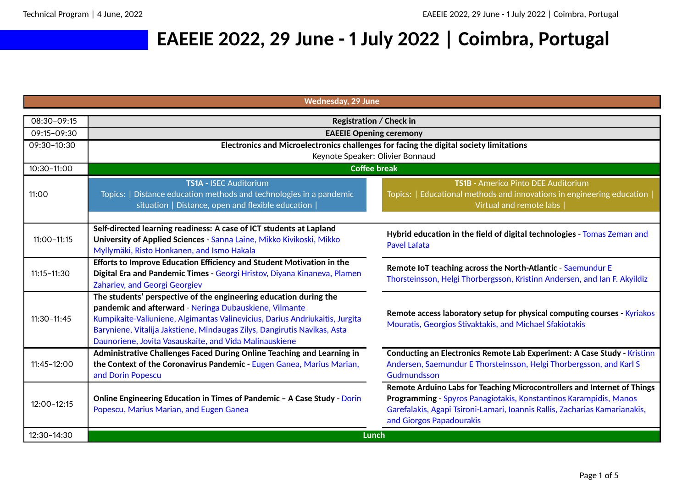## **EAEEIE 2022, 29 June - 1 July 2022 | Coimbra, Portugal**

**Wednesday, 29 June**

| 08:30-09:15     | <b>Registration / Check in</b>                                                                                                                                                                                                                                                                                                                    |                                                                                                                                                                                                                                                         |
|-----------------|---------------------------------------------------------------------------------------------------------------------------------------------------------------------------------------------------------------------------------------------------------------------------------------------------------------------------------------------------|---------------------------------------------------------------------------------------------------------------------------------------------------------------------------------------------------------------------------------------------------------|
| 09:15-09:30     | <b>EAEEIE Opening ceremony</b>                                                                                                                                                                                                                                                                                                                    |                                                                                                                                                                                                                                                         |
| 09:30-10:30     | Electronics and Microelectronics challenges for facing the digital society limitations<br>Keynote Speaker: Olivier Bonnaud                                                                                                                                                                                                                        |                                                                                                                                                                                                                                                         |
| 10:30-11:00     | <b>Coffee break</b>                                                                                                                                                                                                                                                                                                                               |                                                                                                                                                                                                                                                         |
| 11:00           | TS1A - ISEC Auditorium<br>Topics:   Distance education methods and technologies in a pandemic<br>situation   Distance, open and flexible education                                                                                                                                                                                                | <b>TS1B</b> - Americo Pinto DEE Auditorium<br>Topics:   Educational methods and innovations in engineering education  <br>Virtual and remote labs                                                                                                       |
|                 |                                                                                                                                                                                                                                                                                                                                                   |                                                                                                                                                                                                                                                         |
| $11:00 - 11:15$ | Self-directed learning readiness: A case of ICT students at Lapland<br>University of Applied Sciences - Sanna Laine, Mikko Kivikoski, Mikko<br>Myllymäki, Risto Honkanen, and Ismo Hakala                                                                                                                                                         | Hybrid education in the field of digital technologies - Tomas Zeman and<br><b>Pavel Lafata</b>                                                                                                                                                          |
| $11:15 - 11:30$ | Efforts to Improve Education Efficiency and Student Motivation in the<br>Digital Era and Pandemic Times - Georgi Hristov, Diyana Kinaneva, Plamen<br>Zahariev, and Georgi Georgiev                                                                                                                                                                | Remote IoT teaching across the North-Atlantic - Saemundur E<br>Thorsteinsson, Helgi Thorbergsson, Kristinn Andersen, and Ian F. Akyildiz                                                                                                                |
| $11:30-11:45$   | The students' perspective of the engineering education during the<br>pandemic and afterward - Neringa Dubauskiene, Vilmante<br>Kumpikaite-Valiuniene, Algimantas Valinevicius, Darius Andriukaitis, Jurgita<br>Baryniene, Vitalija Jakstiene, Mindaugas Zilys, Dangirutis Navikas, Asta<br>Daunoriene, Jovita Vasauskaite, and Vida Malinauskiene | Remote access laboratory setup for physical computing courses - Kyriakos<br>Mouratis, Georgios Stivaktakis, and Michael Sfakiotakis                                                                                                                     |
| 11:45-12:00     | Administrative Challenges Faced During Online Teaching and Learning in<br>the Context of the Coronavirus Pandemic - Eugen Ganea, Marius Marian,<br>and Dorin Popescu                                                                                                                                                                              | Conducting an Electronics Remote Lab Experiment: A Case Study - Kristinn<br>Andersen, Saemundur E Thorsteinsson, Helgi Thorbergsson, and Karl S<br>Gudmundsson                                                                                          |
| $12:00 - 12:15$ | Online Engineering Education in Times of Pandemic - A Case Study - Dorin<br>Popescu, Marius Marian, and Eugen Ganea                                                                                                                                                                                                                               | Remote Arduino Labs for Teaching Microcontrollers and Internet of Things<br>Programming - Spyros Panagiotakis, Konstantinos Karampidis, Manos<br>Garefalakis, Agapi Tsironi-Lamari, Ioannis Rallis, Zacharias Kamarianakis,<br>and Giorgos Papadourakis |
| 12:30-14:30     | Lunch                                                                                                                                                                                                                                                                                                                                             |                                                                                                                                                                                                                                                         |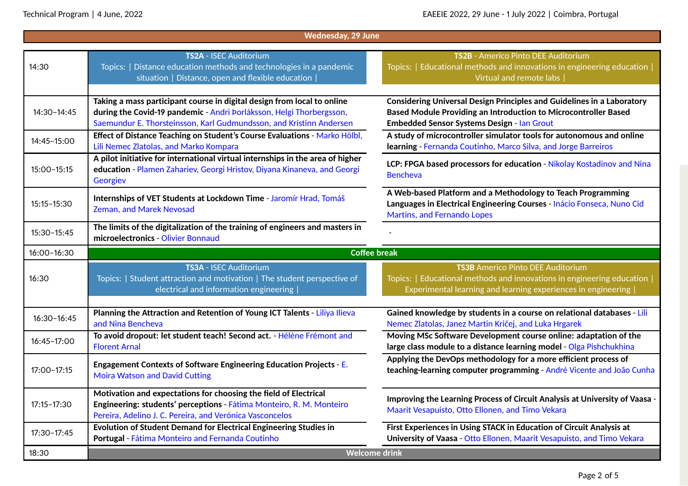| <b>Wednesday, 29 June</b> |                                                                                                                                                                                                                        |                                                                                                                                                                                                              |  |  |
|---------------------------|------------------------------------------------------------------------------------------------------------------------------------------------------------------------------------------------------------------------|--------------------------------------------------------------------------------------------------------------------------------------------------------------------------------------------------------------|--|--|
| 14:30                     | TS2A - ISEC Auditorium<br>Topics:   Distance education methods and technologies in a pandemic<br>situation   Distance, open and flexible education                                                                     | TS2B - Americo Pinto DEE Auditorium<br>Topics:   Educational methods and innovations in engineering education  <br>Virtual and remote labs                                                                   |  |  |
| 14:30-14:45               | Taking a mass participant course in digital design from local to online<br>during the Covid-19 pandemic - Andri Þorláksson, Helgi Thorbergsson,<br>Saemundur E. Thorsteinsson, Karl Gudmundsson, and Kristinn Andersen | <b>Considering Universal Design Principles and Guidelines in a Laboratory</b><br><b>Based Module Providing an Introduction to Microcontroller Based</b><br><b>Embedded Sensor Systems Design - Ian Grout</b> |  |  |
| 14:45-15:00               | Effect of Distance Teaching on Student's Course Evaluations - Marko Hölbl,<br>Lili Nemec Zlatolas, and Marko Kompara                                                                                                   | A study of microcontroller simulator tools for autonomous and online<br>learning - Fernanda Coutinho, Marco Silva, and Jorge Barreiros                                                                       |  |  |
| 15:00-15:15               | A pilot initiative for international virtual internships in the area of higher<br>education - Plamen Zahariev, Georgi Hristov, Diyana Kinaneva, and Georgi<br>Georgiev                                                 | LCP: FPGA based processors for education - Nikolay Kostadinov and Nina<br><b>Bencheva</b>                                                                                                                    |  |  |
| 15:15-15:30               | Internships of VET Students at Lockdown Time - Jaromír Hrad, Tomáš<br><b>Zeman, and Marek Nevosad</b>                                                                                                                  | A Web-based Platform and a Methodology to Teach Programming<br>Languages in Electrical Engineering Courses - Inácio Fonseca, Nuno Cid<br>Martins, and Fernando Lopes                                         |  |  |
| 15:30-15:45               | The limits of the digitalization of the training of engineers and masters in<br>microelectronics - Olivier Bonnaud                                                                                                     |                                                                                                                                                                                                              |  |  |
| 16:00-16:30               | <b>Coffee break</b>                                                                                                                                                                                                    |                                                                                                                                                                                                              |  |  |
| 16:30                     | TS3A - ISEC Auditorium<br>Topics:   Student attraction and motivation   The student perspective of<br>electrical and information engineering                                                                           | <b>TS3B</b> Americo Pinto DEE Auditorium<br>Topics:   Educational methods and innovations in engineering education  <br>Experimental learning and learning experiences in engineering                        |  |  |
| 16:30-16:45               | Planning the Attraction and Retention of Young ICT Talents - Liliya Ilieva<br>and Nina Bencheva                                                                                                                        | Gained knowledge by students in a course on relational databases - Lili<br>Nemec Zlatolas, Janez Martin Kričej, and Luka Hrgarek                                                                             |  |  |
| 16:45-17:00               | To avoid dropout: let student teach! Second act. - Hélène Frémont and<br><b>Florent Arnal</b>                                                                                                                          | Moving MSc Software Development course online: adaptation of the<br>large class module to a distance learning model - Olga Pishchukhina                                                                      |  |  |
| 17:00-17:15               | Engagement Contexts of Software Engineering Education Projects - E.<br><b>Moira Watson and David Cutting</b>                                                                                                           | Applying the DevOps methodology for a more efficient process of<br>teaching-learning computer programming - André Vicente and João Cunha                                                                     |  |  |
| $17:15 - 17:30$           | Motivation and expectations for choosing the field of Electrical<br>Engineering: students' perceptions - Fátima Monteiro, R. M. Monteiro<br>Pereira, Adelino J. C. Pereira, and Verónica Vasconcelos                   | Improving the Learning Process of Circuit Analysis at University of Vaasa<br>Maarit Vesapuisto, Otto Ellonen, and Timo Vekara                                                                                |  |  |
| 17:30-17:45               | Evolution of Student Demand for Electrical Engineering Studies in<br>Portugal - Fátima Monteiro and Fernanda Coutinho                                                                                                  | First Experiences in Using STACK in Education of Circuit Analysis at<br>University of Vaasa - Otto Ellonen, Maarit Vesapuisto, and Timo Vekara                                                               |  |  |
| 18:30                     | <b>Welcome drink</b>                                                                                                                                                                                                   |                                                                                                                                                                                                              |  |  |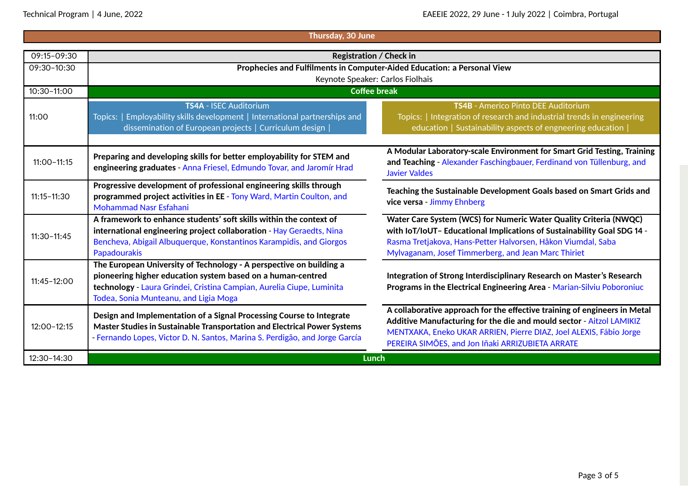| Thursday, 30 June |                                                                                                                                                                                                                                                      |                                                                                                                                                                                                                                                                             |  |
|-------------------|------------------------------------------------------------------------------------------------------------------------------------------------------------------------------------------------------------------------------------------------------|-----------------------------------------------------------------------------------------------------------------------------------------------------------------------------------------------------------------------------------------------------------------------------|--|
| 09:15-09:30       | <b>Registration / Check in</b>                                                                                                                                                                                                                       |                                                                                                                                                                                                                                                                             |  |
| 09:30-10:30       |                                                                                                                                                                                                                                                      |                                                                                                                                                                                                                                                                             |  |
|                   | Prophecies and Fulfilments in Computer-Aided Education: a Personal View<br>Keynote Speaker: Carlos Fiolhais                                                                                                                                          |                                                                                                                                                                                                                                                                             |  |
| 10:30-11:00       | <b>Coffee break</b>                                                                                                                                                                                                                                  |                                                                                                                                                                                                                                                                             |  |
|                   |                                                                                                                                                                                                                                                      |                                                                                                                                                                                                                                                                             |  |
|                   | TS4A - ISEC Auditorium                                                                                                                                                                                                                               | TS4B - Americo Pinto DEE Auditorium                                                                                                                                                                                                                                         |  |
| 11:00             | Topics:   Employability skills development   International partnerships and                                                                                                                                                                          | Topics:   Integration of research and industrial trends in engineering                                                                                                                                                                                                      |  |
|                   | dissemination of European projects   Curriculum design                                                                                                                                                                                               | education   Sustainability aspects of engneering education                                                                                                                                                                                                                  |  |
|                   |                                                                                                                                                                                                                                                      |                                                                                                                                                                                                                                                                             |  |
| $11:00 - 11:15$   | Preparing and developing skills for better employability for STEM and<br>engineering graduates - Anna Friesel, Edmundo Tovar, and Jaromír Hrad                                                                                                       | A Modular Laboratory-scale Environment for Smart Grid Testing, Training<br>and Teaching - Alexander Faschingbauer, Ferdinand von Tüllenburg, and<br><b>Javier Valdes</b>                                                                                                    |  |
| $11:15 - 11:30$   | Progressive development of professional engineering skills through<br>programmed project activities in EE - Tony Ward, Martin Coulton, and<br><b>Mohammad Nasr Esfahani</b>                                                                          | Teaching the Sustainable Development Goals based on Smart Grids and<br>vice versa - Jimmy Ehnberg                                                                                                                                                                           |  |
| $11:30 - 11:45$   | A framework to enhance students' soft skills within the context of<br>international engineering project collaboration - Hay Geraedts, Nina<br>Bencheva, Abigail Albuquerque, Konstantinos Karampidis, and Giorgos<br>Papadourakis                    | Water Care System (WCS) for Numeric Water Quality Criteria (NWQC)<br>with IoT/IoUT- Educational Implications of Sustainability Goal SDG 14 -<br>Rasma Tretjakova, Hans-Petter Halvorsen, Håkon Viumdal, Saba<br>Mylvaganam, Josef Timmerberg, and Jean Marc Thiriet         |  |
| $11:45 - 12:00$   | The European University of Technology - A perspective on building a<br>pioneering higher education system based on a human-centred<br>technology - Laura Grindei, Cristina Campian, Aurelia Ciupe, Luminita<br>Todea, Sonia Munteanu, and Ligia Moga | Integration of Strong Interdisciplinary Research on Master's Research<br>Programs in the Electrical Engineering Area - Marian-Silviu Poboroniuc                                                                                                                             |  |
| $12:00 - 12:15$   | Design and Implementation of a Signal Processing Course to Integrate<br>Master Studies in Sustainable Transportation and Electrical Power Systems<br>- Fernando Lopes, Victor D. N. Santos, Marina S. Perdigão, and Jorge García                     | A collaborative approach for the effective training of engineers in Metal<br>Additive Manufacturing for the die and mould sector - Aitzol LAMIKIZ<br>MENTXAKA, Eneko UKAR ARRIEN, Pierre DIAZ, Joel ALEXIS, Fábio Jorge<br>PEREIRA SIMÕES, and Jon Iñaki ARRIZUBIETA ARRATE |  |
| 12:30-14:30       | Lunch                                                                                                                                                                                                                                                |                                                                                                                                                                                                                                                                             |  |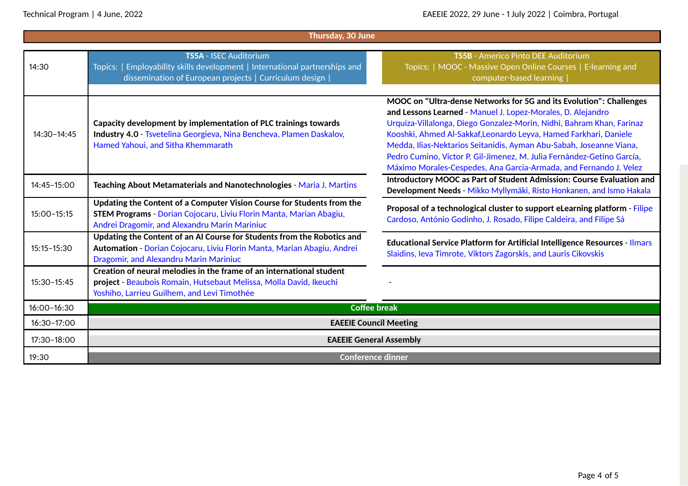| Thursday, 30 June |                                                                                                                                                                                                |                                                                                                                                                                                                                                                                                                                                                                                                                                                                                                        |  |  |
|-------------------|------------------------------------------------------------------------------------------------------------------------------------------------------------------------------------------------|--------------------------------------------------------------------------------------------------------------------------------------------------------------------------------------------------------------------------------------------------------------------------------------------------------------------------------------------------------------------------------------------------------------------------------------------------------------------------------------------------------|--|--|
| 14:30             | TS5A - ISEC Auditorium<br>Topics:   Employability skills development   International partnerships and<br>dissemination of European projects   Curriculum design                                | TS5B - Americo Pinto DEE Auditorium<br>Topics:   MOOC - Massive Open Online Courses   E-learning and<br>computer-based learning                                                                                                                                                                                                                                                                                                                                                                        |  |  |
| 14:30-14:45       | Capacity development by implementation of PLC trainings towards<br>Industry 4.0 - Tsvetelina Georgieva, Nina Bencheva, Plamen Daskalov,<br>Hamed Yahoui, and Sitha Khemmarath                  | MOOC on "Ultra-dense Networks for 5G and its Evolution": Challenges<br>and Lessons Learned - Manuel J. Lopez-Morales, D. Alejandro<br>Urquiza-Villalonga, Diego Gonzalez-Morin, Nidhi, Bahram Khan, Farinaz<br>Kooshki, Ahmed Al-Sakkaf, Leonardo Leyva, Hamed Farkhari, Daniele<br>Medda, Ilias-Nektarios Seitanidis, Ayman Abu-Sabah, Joseanne Viana,<br>Pedro Cumino, Victor P. Gil-Jimenez, M. Julia Fernández-Getino García,<br>Máximo Morales-Cespedes, Ana Garcia-Armada, and Fernando J. Velez |  |  |
| 14:45-15:00       | Teaching About Metamaterials and Nanotechnologies - Maria J. Martins                                                                                                                           | Introductory MOOC as Part of Student Admission: Course Evaluation and<br>Development Needs - Mikko Myllymäki, Risto Honkanen, and Ismo Hakala                                                                                                                                                                                                                                                                                                                                                          |  |  |
| 15:00-15:15       | Updating the Content of a Computer Vision Course for Students from the<br>STEM Programs - Dorian Cojocaru, Liviu Florin Manta, Marian Abagiu,<br>Andrei Dragomir, and Alexandru Marin Mariniuc | Proposal of a technological cluster to support eLearning platform - Filipe<br>Cardoso, António Godinho, J. Rosado, Filipe Caldeira, and Filipe Sá                                                                                                                                                                                                                                                                                                                                                      |  |  |
| $15:15 - 15:30$   | Updating the Content of an AI Course for Students from the Robotics and<br>Automation - Dorian Cojocaru, Liviu Florin Manta, Marian Abagiu, Andrei<br>Dragomir, and Alexandru Marin Mariniuc   | <b>Educational Service Platform for Artificial Intelligence Resources - Ilmars</b><br>Slaidins, Ieva Timrote, Viktors Zagorskis, and Lauris Cikovskis                                                                                                                                                                                                                                                                                                                                                  |  |  |
| $15:30 - 15:45$   | Creation of neural melodies in the frame of an international student<br>project - Beaubois Romain, Hutsebaut Melissa, Molla David, Ikeuchi<br>Yoshiho, Larrieu Guilhem, and Levi Timothée      |                                                                                                                                                                                                                                                                                                                                                                                                                                                                                                        |  |  |
| 16:00-16:30       | <b>Coffee break</b>                                                                                                                                                                            |                                                                                                                                                                                                                                                                                                                                                                                                                                                                                                        |  |  |
| 16:30-17:00       | <b>EAEEIE Council Meeting</b>                                                                                                                                                                  |                                                                                                                                                                                                                                                                                                                                                                                                                                                                                                        |  |  |
| 17:30-18:00       | <b>EAEEIE General Assembly</b>                                                                                                                                                                 |                                                                                                                                                                                                                                                                                                                                                                                                                                                                                                        |  |  |
| 19:30             | <b>Conference dinner</b>                                                                                                                                                                       |                                                                                                                                                                                                                                                                                                                                                                                                                                                                                                        |  |  |